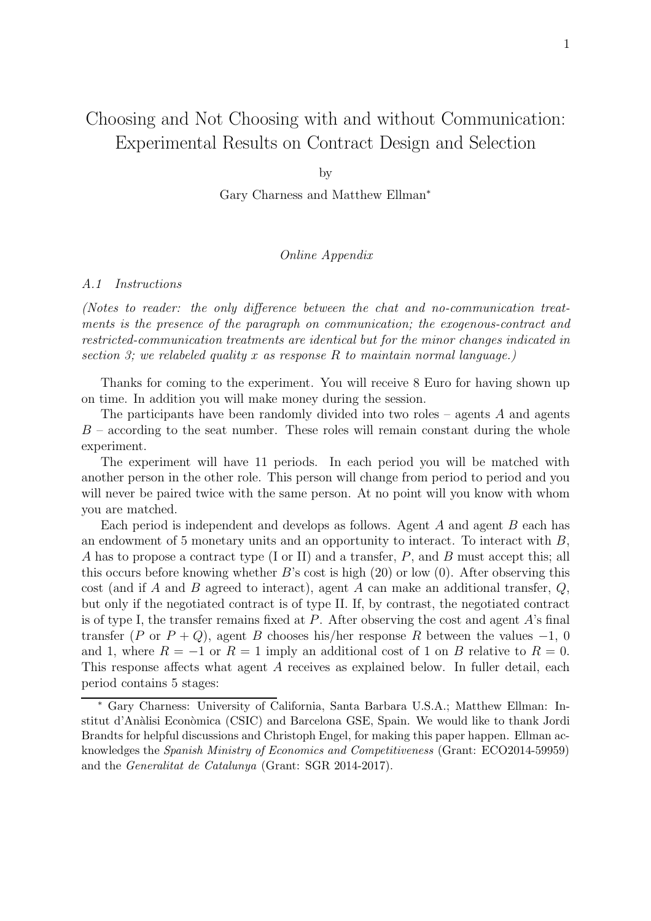# Choosing and Not Choosing with and without Communication: Experimental Results on Contract Design and Selection

by

Gary Charness and Matthew Ellman<sup>∗</sup>

## Online Appendix

#### A.1 Instructions

(Notes to reader: the only difference between the chat and no-communication treatments is the presence of the paragraph on communication; the exogenous-contract and restricted-communication treatments are identical but for the minor changes indicated in section 3; we relabeled quality x as response R to maintain normal language.)

Thanks for coming to the experiment. You will receive 8 Euro for having shown up on time. In addition you will make money during the session.

The participants have been randomly divided into two roles – agents  $A$  and agents  $B$  – according to the seat number. These roles will remain constant during the whole experiment.

The experiment will have 11 periods. In each period you will be matched with another person in the other role. This person will change from period to period and you will never be paired twice with the same person. At no point will you know with whom you are matched.

Each period is independent and develops as follows. Agent A and agent B each has an endowment of 5 monetary units and an opportunity to interact. To interact with  $B$ , A has to propose a contract type (I or II) and a transfer, P, and B must accept this; all this occurs before knowing whether  $B$ 's cost is high  $(20)$  or low  $(0)$ . After observing this cost (and if A and B agreed to interact), agent A can make an additional transfer,  $Q$ , but only if the negotiated contract is of type II. If, by contrast, the negotiated contract is of type I, the transfer remains fixed at  $P$ . After observing the cost and agent  $A$ 's final transfer (P or  $P + Q$ ), agent B chooses his/her response R between the values -1, 0 and 1, where  $R = -1$  or  $R = 1$  imply an additional cost of 1 on B relative to  $R = 0$ . This response affects what agent A receives as explained below. In fuller detail, each period contains 5 stages:

<sup>∗</sup> Gary Charness: University of California, Santa Barbara U.S.A.; Matthew Ellman: Institut d'Anàlisi Econòmica (CSIC) and Barcelona GSE, Spain. We would like to thank Jordi Brandts for helpful discussions and Christoph Engel, for making this paper happen. Ellman acknowledges the Spanish Ministry of Economics and Competitiveness (Grant: ECO2014-59959) and the Generalitat de Catalunya (Grant: SGR 2014-2017).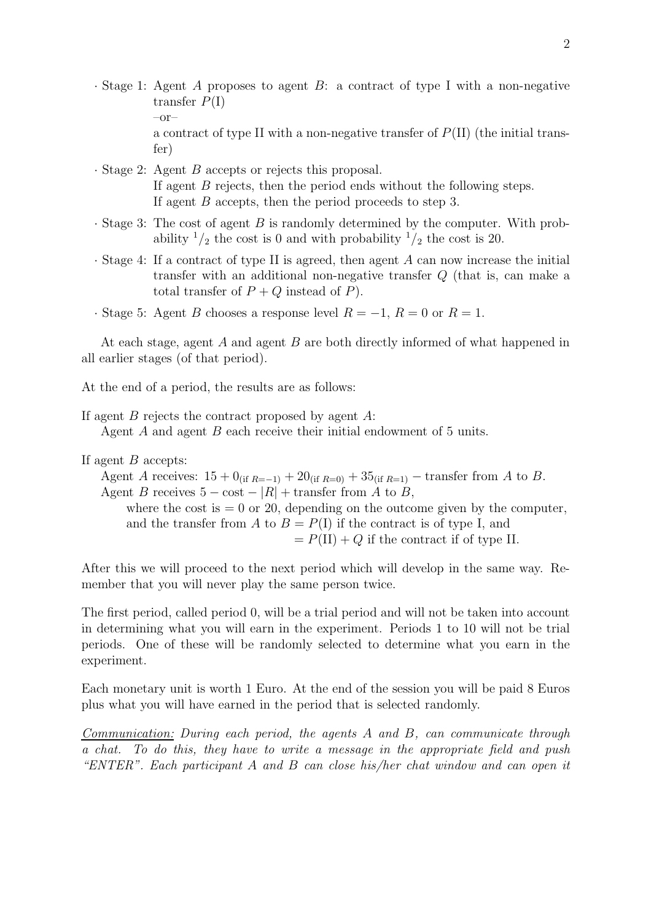- · Stage 1: Agent A proposes to agent B: a contract of type I with a non-negative transfer  $P(I)$  $-or$ a contract of type II with a non-negative transfer of  $P(II)$  (the initial transfer)
- · Stage 2: Agent B accepts or rejects this proposal. If agent B rejects, then the period ends without the following steps. If agent B accepts, then the period proceeds to step 3.
- $\cdot$  Stage 3: The cost of agent B is randomly determined by the computer. With probability  $\frac{1}{2}$  the cost is 0 and with probability  $\frac{1}{2}$  the cost is 20.
- · Stage 4: If a contract of type II is agreed, then agent A can now increase the initial transfer with an additional non-negative transfer Q (that is, can make a total transfer of  $P + Q$  instead of P).
- · Stage 5: Agent B chooses a response level  $R = -1$ ,  $R = 0$  or  $R = 1$ .

At each stage, agent A and agent B are both directly informed of what happened in all earlier stages (of that period).

At the end of a period, the results are as follows:

If agent  $B$  rejects the contract proposed by agent  $A$ : Agent A and agent B each receive their initial endowment of 5 units.

## If agent  $B$  accepts:

Agent A receives:  $15 + 0$ <sub>(if R=-1)</sub> +  $20$ <sub>(if R=0)</sub> +  $35$ <sub>(if R=1)</sub> – transfer from A to B. Agent B receives  $5 - \cos t - |R| +$  transfer from A to B, where the cost is  $= 0$  or 20, depending on the outcome given by the computer, and the transfer from A to  $B = P(I)$  if the contract is of type I, and  $= P(II) + Q$  if the contract if of type II.

After this we will proceed to the next period which will develop in the same way. Remember that you will never play the same person twice.

The first period, called period 0, will be a trial period and will not be taken into account in determining what you will earn in the experiment. Periods 1 to 10 will not be trial periods. One of these will be randomly selected to determine what you earn in the experiment.

Each monetary unit is worth 1 Euro. At the end of the session you will be paid 8 Euros plus what you will have earned in the period that is selected randomly.

Communication: During each period, the agents A and B, can communicate through a chat. To do this, they have to write a message in the appropriate field and push "ENTER". Each participant A and B can close his/her chat window and can open it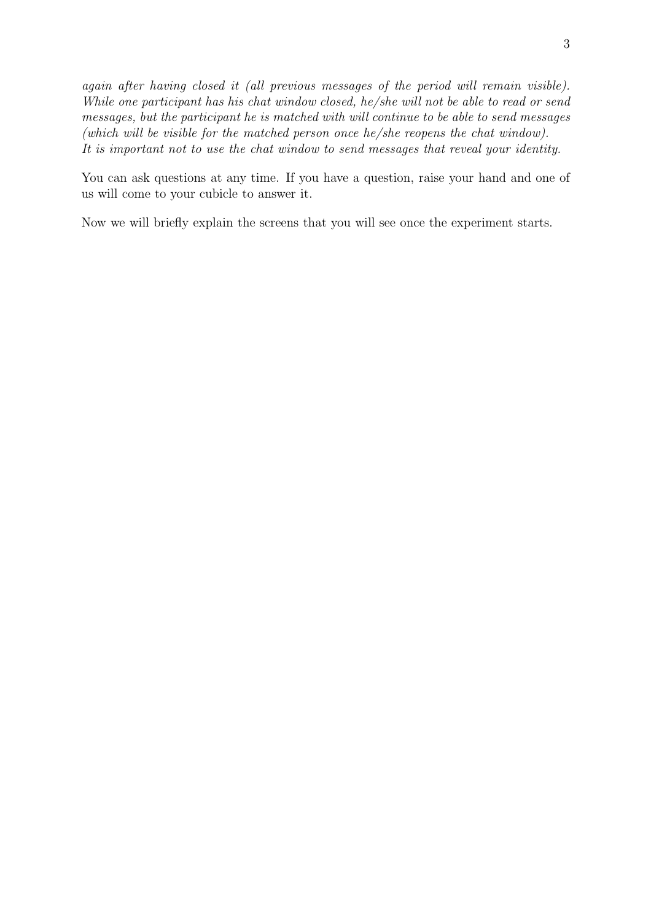again after having closed it (all previous messages of the period will remain visible). While one participant has his chat window closed, he/she will not be able to read or send messages, but the participant he is matched with will continue to be able to send messages (which will be visible for the matched person once he/she reopens the chat window). It is important not to use the chat window to send messages that reveal your identity.

You can ask questions at any time. If you have a question, raise your hand and one of us will come to your cubicle to answer it.

Now we will briefly explain the screens that you will see once the experiment starts.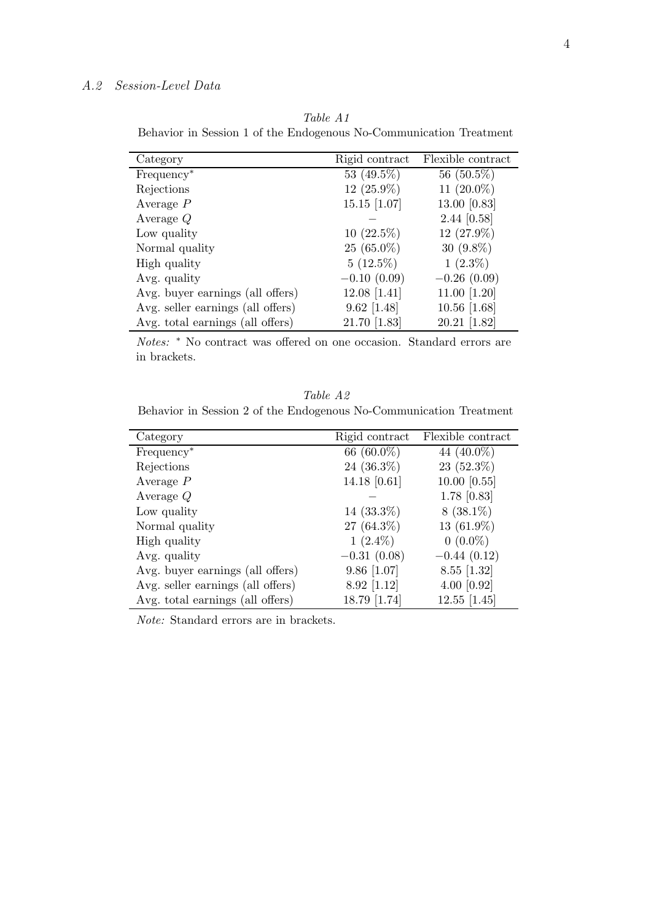# A.2 Session-Level Data

Table A1 Behavior in Session 1 of the Endogenous No-Communication Treatment

| Category                          | Rigid contract | Flexible contract |
|-----------------------------------|----------------|-------------------|
| Frequency <sup>*</sup>            | 53 (49.5%)     | 56 $(50.5\%)$     |
| Rejections                        | $12(25.9\%)$   | 11 $(20.0\%)$     |
| Average $P$                       | $15.15$ [1.07] | 13.00 [0.83]      |
| Average $Q$                       |                | $2.44$ [0.58]     |
| Low quality                       | $10(22.5\%)$   | 12 (27.9%)        |
| Normal quality                    | $25(65.0\%)$   | 30 $(9.8\%)$      |
| High quality                      | $5(12.5\%)$    | $1(2.3\%)$        |
| Avg. quality                      | $-0.10(0.09)$  | $-0.26(0.09)$     |
| Avg. buyer earnings (all offers)  | $12.08$ [1.41] | 11.00 $[1.20]$    |
| Avg. seller earnings (all offers) | $9.62$ [1.48]  | $10.56$ [1.68]    |
| Avg. total earnings (all offers)  | 21.70 [1.83]   | 20.21 [1.82]      |

Notes: <sup>∗</sup> No contract was offered on one occasion. Standard errors are in brackets.

Table A2 Behavior in Session 2 of the Endogenous No-Communication Treatment

| Category                          | Rigid contract | Flexible contract |
|-----------------------------------|----------------|-------------------|
| Frequency <sup>*</sup>            | 66 $(60.0\%)$  | 44 $(40.0\%)$     |
| Rejections                        | 24 $(36.3\%)$  | $23(52.3\%)$      |
| Average $P$                       | 14.18 $[0.61]$ | $10.00$ [0.55]    |
| Average $Q$                       |                | $1.78$ [0.83]     |
| Low quality                       | $14(33.3\%)$   | $8(38.1\%)$       |
| Normal quality                    | 27 $(64.3\%)$  | 13 $(61.9\%)$     |
| High quality                      | $1(2.4\%)$     | $0(0.0\%)$        |
| Avg. quality                      | $-0.31(0.08)$  | $-0.44(0.12)$     |
| Avg. buyer earnings (all offers)  | $9.86$ [1.07]  | $8.55$ [1.32]     |
| Avg. seller earnings (all offers) | $8.92$ [1.12]  | $4.00$ [0.92]     |
| Avg. total earnings (all offers)  | 18.79 [1.74]   | $12.55$ [1.45]    |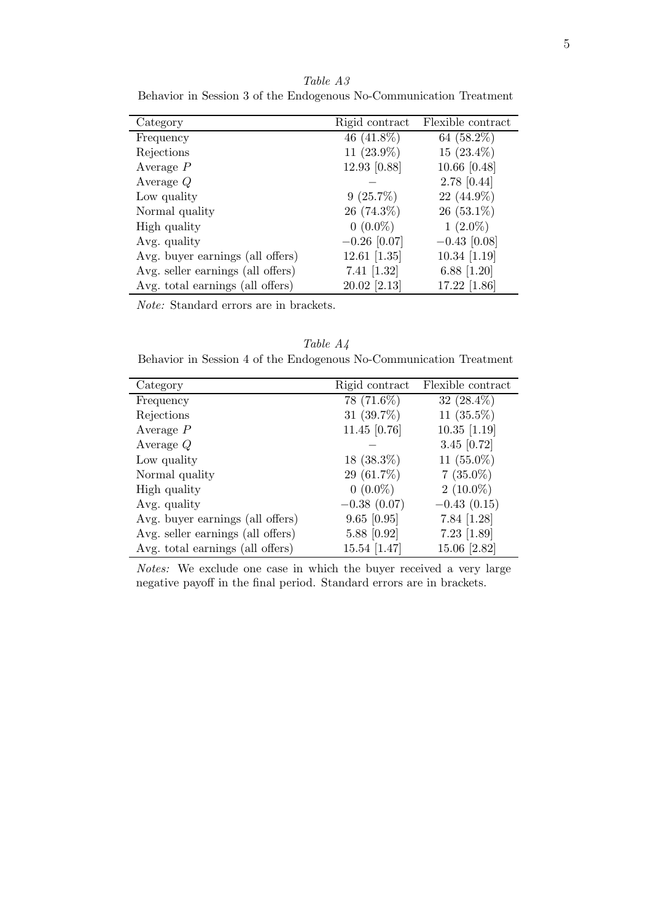| Category                          | Rigid contract | Flexible contract |
|-----------------------------------|----------------|-------------------|
| Frequency                         | 46 $(41.8\%)$  | 64 $(58.2\%)$     |
| Rejections                        | 11 $(23.9\%)$  | $15(23.4\%)$      |
| Average $P$                       | 12.93 [0.88]   | $10.66$ [0.48]    |
| Average $Q$                       |                | $2.78$ [0.44]     |
| Low quality                       | $9(25.7\%)$    | $22(44.9\%)$      |
| Normal quality                    | $26(74.3\%)$   | $26(53.1\%)$      |
| High quality                      | $0(0.0\%)$     | $1(2.0\%)$        |
| Avg. quality                      | $-0.26$ [0.07] | $-0.43$ [0.08]    |
| Avg. buyer earnings (all offers)  | $12.61$ [1.35] | 10.34 [1.19]      |
| Avg. seller earnings (all offers) | 7.41 $[1.32]$  | 6.88 $[1.20]$     |
| Avg. total earnings (all offers)  | $20.02$ [2.13] | 17.22 [1.86]      |

Table A3 Behavior in Session 3 of the Endogenous No-Communication Treatment

Table A4 Behavior in Session 4 of the Endogenous No-Communication Treatment

| Category                          | Rigid contract | Flexible contract |
|-----------------------------------|----------------|-------------------|
| Frequency                         | $78(71.6\%)$   | 32 $(28.4\%)$     |
| Rejections                        | 31 $(39.7\%)$  | 11 $(35.5\%)$     |
| Average $P$                       | 11.45 $[0.76]$ | $10.35$ [1.19]    |
| Average $Q$                       |                | 3.45 $[0.72]$     |
| Low quality                       | $18~(38.3\%)$  | 11 $(55.0\%)$     |
| Normal quality                    | $29(61.7\%)$   | $7(35.0\%)$       |
| High quality                      | $0(0.0\%)$     | $2(10.0\%)$       |
| Avg. quality                      | $-0.38(0.07)$  | $-0.43(0.15)$     |
| Avg. buyer earnings (all offers)  | $9.65$ [0.95]  | 7.84 $[1.28]$     |
| Avg. seller earnings (all offers) | 5.88 [0.92]    | $7.23$ [1.89]     |
| Avg. total earnings (all offers)  | 15.54 [1.47]   | 15.06 [2.82]      |

Notes: We exclude one case in which the buyer received a very large negative payoff in the final period. Standard errors are in brackets.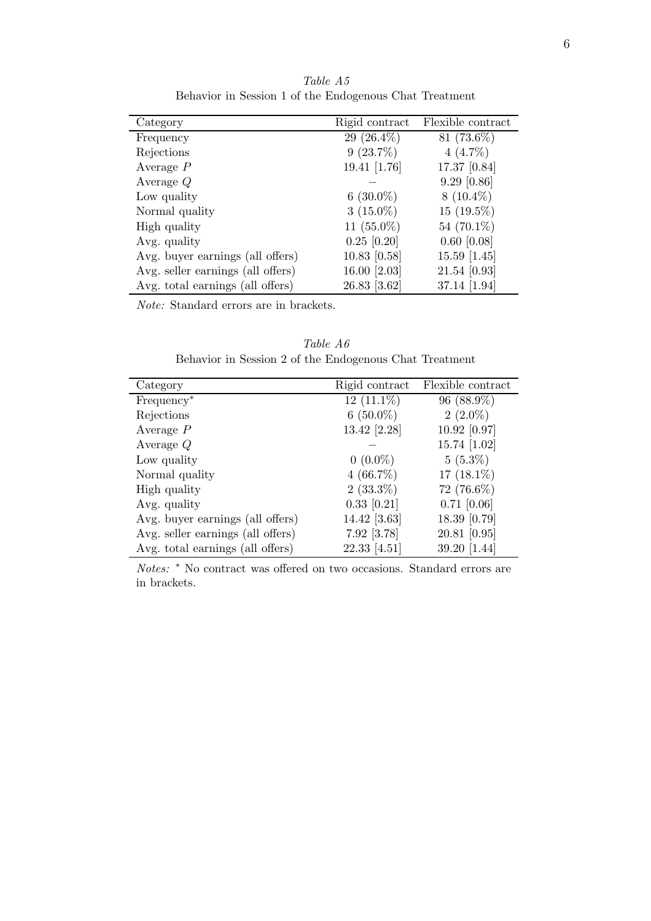| Category                          | Rigid contract | Flexible contract |
|-----------------------------------|----------------|-------------------|
| Frequency                         | 29 $(26.4\%)$  | $81(73.6\%)$      |
| Rejections                        | $9(23.7\%)$    | $4(4.7\%)$        |
| Average $P$                       | 19.41 [1.76]   | 17.37 [0.84]      |
| Average $Q$                       |                | $9.29$ [0.86]     |
| Low quality                       | 6 $(30.0\%)$   | $8(10.4\%)$       |
| Normal quality                    | $3(15.0\%)$    | $15(19.5\%)$      |
| High quality                      | 11 $(55.0\%)$  | 54 $(70.1\%)$     |
| Avg. quality                      | $0.25$ [0.20]  | $0.60$ [0.08]     |
| Avg. buyer earnings (all offers)  | $10.83$ [0.58] | 15.59 [1.45]      |
| Avg. seller earnings (all offers) | 16.00 [2.03]   | 21.54 [0.93]      |
| Avg. total earnings (all offers)  | 26.83 [3.62]   | 37.14 [1.94]      |

Table A5 Behavior in Session 1 of the Endogenous Chat Treatment

Table A6 Behavior in Session 2 of the Endogenous Chat Treatment

| Category                          | Rigid contract | Flexible contract |
|-----------------------------------|----------------|-------------------|
| Frequency <sup>*</sup>            | $12(11.1\%)$   | $96(88.9\%)$      |
| Rejections                        | $6(50.0\%)$    | $2(2.0\%)$        |
| Average $P$                       | 13.42 [2.28]   | 10.92 [0.97]      |
| Average $Q$                       |                | 15.74 $[1.02]$    |
| Low quality                       | $0(0.0\%)$     | $5(5.3\%)$        |
| Normal quality                    | $4(66.7\%)$    | 17 $(18.1\%)$     |
| High quality                      | $2(33.3\%)$    | 72 (76.6%)        |
| Avg. quality                      | $0.33$ [0.21]  | $0.71$ [0.06]     |
| Avg. buyer earnings (all offers)  | 14.42 [3.63]   | 18.39 [0.79]      |
| Avg. seller earnings (all offers) | 7.92 [3.78]    | $20.81$ [0.95]    |
| Avg. total earnings (all offers)  | 22.33 [4.51]   | 39.20 [1.44]      |

Notes: <sup>∗</sup> No contract was offered on two occasions. Standard errors are in brackets.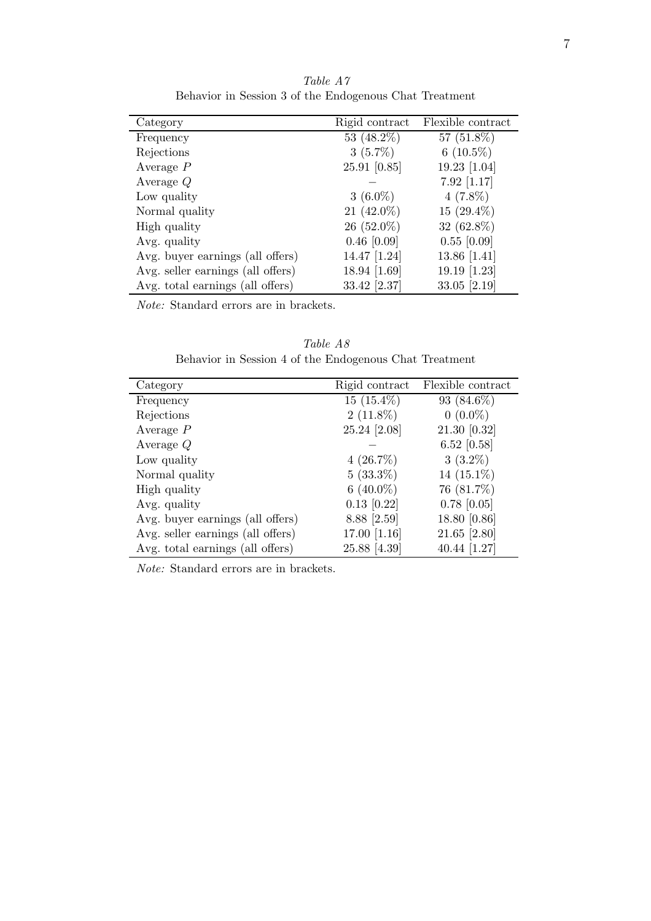| Category                          | Rigid contract | Flexible contract |
|-----------------------------------|----------------|-------------------|
| Frequency                         | 53 $(48.2\%)$  | 57 $(51.8\%)$     |
| Rejections                        | $3(5.7\%)$     | 6 $(10.5\%)$      |
| Average $P$                       | $25.91$ [0.85] | 19.23 [1.04]      |
| Average $Q$                       |                | $7.92$ [1.17]     |
| Low quality                       | $3(6.0\%)$     | $4(7.8\%)$        |
| Normal quality                    | 21 $(42.0\%)$  | 15 $(29.4\%)$     |
| High quality                      | $26(52.0\%)$   | 32 $(62.8\%)$     |
| Avg. quality                      | $0.46$ [0.09]  | $0.55$ [0.09]     |
| Avg. buyer earnings (all offers)  | 14.47 [1.24]   | 13.86 $[1.41]$    |
| Avg. seller earnings (all offers) | 18.94 [1.69]   | 19.19 $[1.23]$    |
| Avg. total earnings (all offers)  | 33.42 [2.37]   | 33.05 $[2.19]$    |

Table A7 Behavior in Session 3 of the Endogenous Chat Treatment

| Behavior in Session 4 of the Endogenous Chat Treatment |                              |  |
|--------------------------------------------------------|------------------------------|--|
| gory                                                   | Rigid contract Flexible cont |  |

Table A8

| Category                          | Rigid contract | Flexible contract |
|-----------------------------------|----------------|-------------------|
| Frequency                         | $15(15.4\%)$   | 93 $(84.6\%)$     |
| Rejections                        | $2(11.8\%)$    | $0(0.0\%)$        |
| Average $P$                       | 25.24 [2.08]   | 21.30 [0.32]      |
| Average $Q$                       |                | $6.52$ [0.58]     |
| Low quality                       | $4(26.7\%)$    | $3(3.2\%)$        |
| Normal quality                    | $5(33.3\%)$    | 14 $(15.1\%)$     |
| High quality                      | 6 $(40.0\%)$   | 76 (81.7%)        |
| Avg. quality                      | $0.13$ [0.22]  | $0.78$ [0.05]     |
| Avg. buyer earnings (all offers)  | 8.88 [2.59]    | 18.80 [0.86]      |
| Avg. seller earnings (all offers) | 17.00 [1.16]   | $21.65$ [2.80]    |
| Avg. total earnings (all offers)  | 25.88 [4.39]   | 40.44 $[1.27]$    |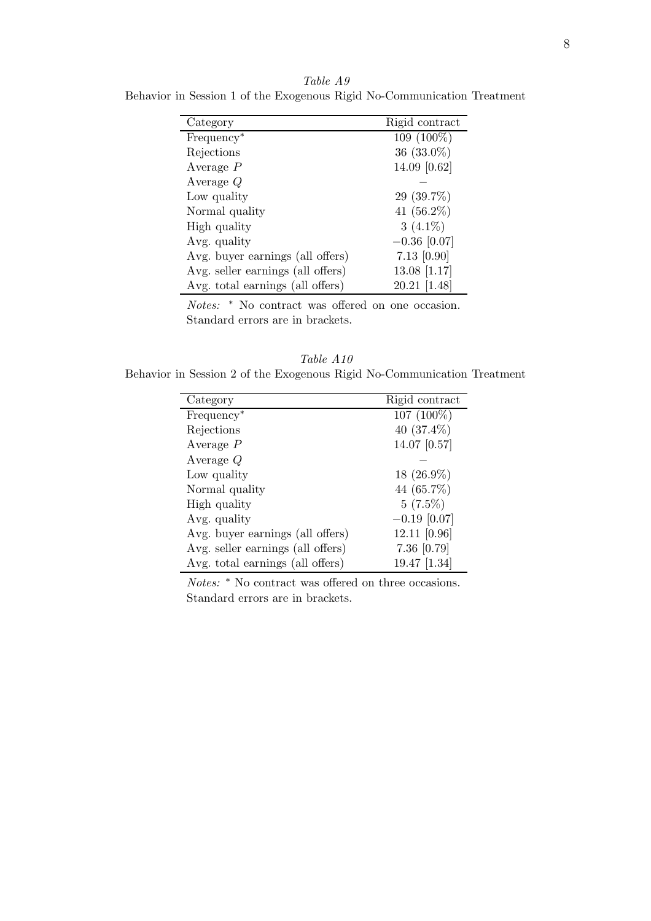| Category                          | Rigid contract |
|-----------------------------------|----------------|
| Frequency <sup>*</sup>            | 109 (100%)     |
| Rejections                        | $36(33.0\%)$   |
| Average $P$                       | 14.09 [0.62]   |
| Average $Q$                       |                |
| Low quality                       | $29(39.7\%)$   |
| Normal quality                    | 41 $(56.2\%)$  |
| High quality                      | 3 $(4.1\%)$    |
| Avg. quality                      | $-0.36$ [0.07] |
| Avg. buyer earnings (all offers)  | $7.13$ [0.90]  |
| Avg. seller earnings (all offers) | $13.08$ [1.17] |
| Avg. total earnings (all offers)  | 20.21 [1.48]   |

Table A9 Behavior in Session 1 of the Exogenous Rigid No-Communication Treatment

Notes: <sup>∗</sup> No contract was offered on one occasion. Standard errors are in brackets.

Table A10 Behavior in Session 2 of the Exogenous Rigid No-Communication Treatment

| Category                          | Rigid contract |
|-----------------------------------|----------------|
| Frequency <sup>*</sup>            | 107 (100%)     |
| Rejections                        | 40 $(37.4\%)$  |
| Average $P$                       | 14.07 [0.57]   |
| Average $Q$                       |                |
| Low quality                       | $18(26.9\%)$   |
| Normal quality                    | 44 (65.7%)     |
| High quality                      | $5(7.5\%)$     |
| Avg. quality                      | $-0.19$ [0.07] |
| Avg. buyer earnings (all offers)  | 12.11 [0.96]   |
| Avg. seller earnings (all offers) | 7.36 [0.79]    |
| Avg. total earnings (all offers)  | $19.47$ [1.34] |

Notes: <sup>∗</sup> No contract was offered on three occasions. Standard errors are in brackets.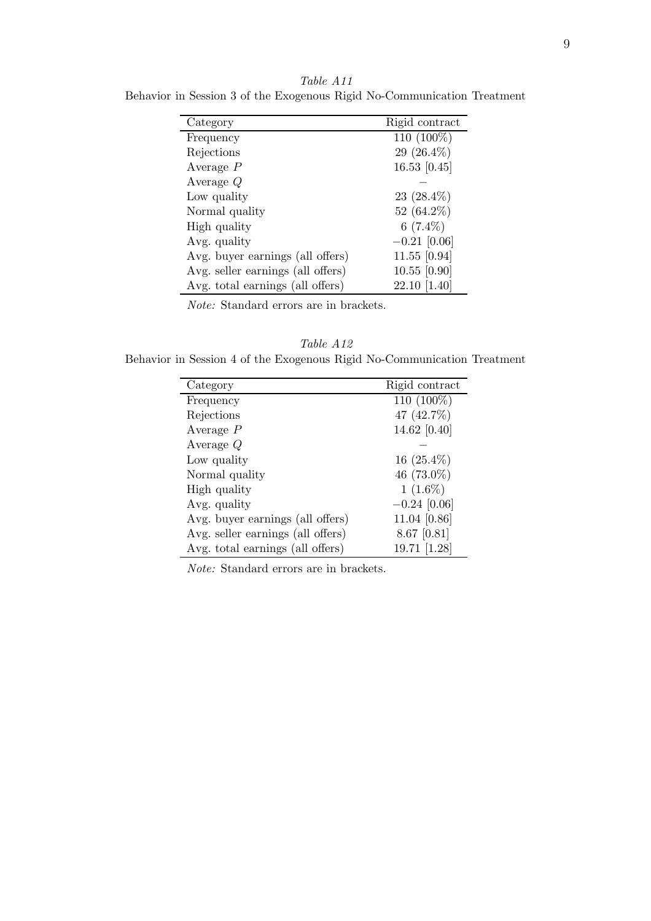| Category                          | Rigid contract |
|-----------------------------------|----------------|
| Frequency                         | 110 (100%)     |
| Rejections                        | $29(26.4\%)$   |
| Average $P$                       | 16.53 $[0.45]$ |
| Average $Q$                       |                |
| Low quality                       | $23(28.4\%)$   |
| Normal quality                    | 52 $(64.2\%)$  |
| High quality                      | 6 $(7.4\%)$    |
| Avg. quality                      | $-0.21$ [0.06] |
| Avg. buyer earnings (all offers)  | $11.55$ [0.94] |
| Avg. seller earnings (all offers) | $10.55$ [0.90] |
| Avg. total earnings (all offers)  | 22.10 [1.40]   |

Table A11 Behavior in Session 3 of the Exogenous Rigid No-Communication Treatment

Table A12 Behavior in Session 4 of the Exogenous Rigid No-Communication Treatment

| Rigid contract |
|----------------|
| 110 (100%)     |
| 47 (42.7%)     |
| 14.62 [0.40]   |
|                |
| $16(25.4\%)$   |
| 46 (73.0%)     |
| $1(1.6\%)$     |
| $-0.24$ [0.06] |
| 11.04 [0.86]   |
| $8.67$ [0.81]  |
| 19.71 [1.28]   |
|                |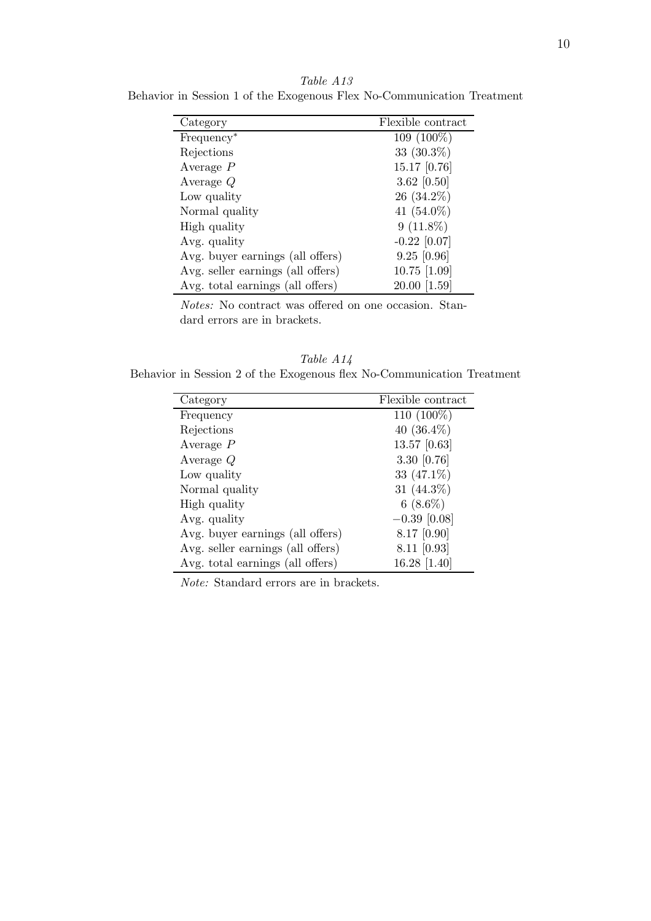Category Flexible contract  $Frequency^*$  109 (100%) Rejections  $33 \ (30.3\%)$ Average *P* 15.17 [0.76] Average *Q* 3.62 [0.50] Low quality  $26 \ (34.2\%)$ Normal quality  $41 \ (54.0\%)$ High quality  $9(11.8\%)$ Avg. quality  $-0.22$  [0.07] Avg. buyer earnings (all offers) 9.25 [0.96] Avg. seller earnings (all offers)  $10.75$  [1.09] Avg. total earnings (all offers) 20.00 [1.59]

Table A13 Behavior in Session 1 of the Exogenous Flex No-Communication Treatment

Notes: No contract was offered on one occasion. Standard errors are in brackets.

Table A14 Behavior in Session 2 of the Exogenous flex No-Communication Treatment

| Category                          | Flexible contract |
|-----------------------------------|-------------------|
| Frequency                         | 110 (100%)        |
| Rejections                        | 40 $(36.4\%)$     |
| Average $P$                       | 13.57 [0.63]      |
| Average $Q$                       | 3.30 $[0.76]$     |
| Low quality                       | 33 $(47.1\%)$     |
| Normal quality                    | 31 $(44.3\%)$     |
| High quality                      | $6(8.6\%)$        |
| Avg. quality                      | $-0.39$ [0.08]    |
| Avg. buyer earnings (all offers)  | $8.17$ [0.90]     |
| Avg. seller earnings (all offers) | $8.11$ [0.93]     |
| Avg. total earnings (all offers)  | 16.28 [1.40]      |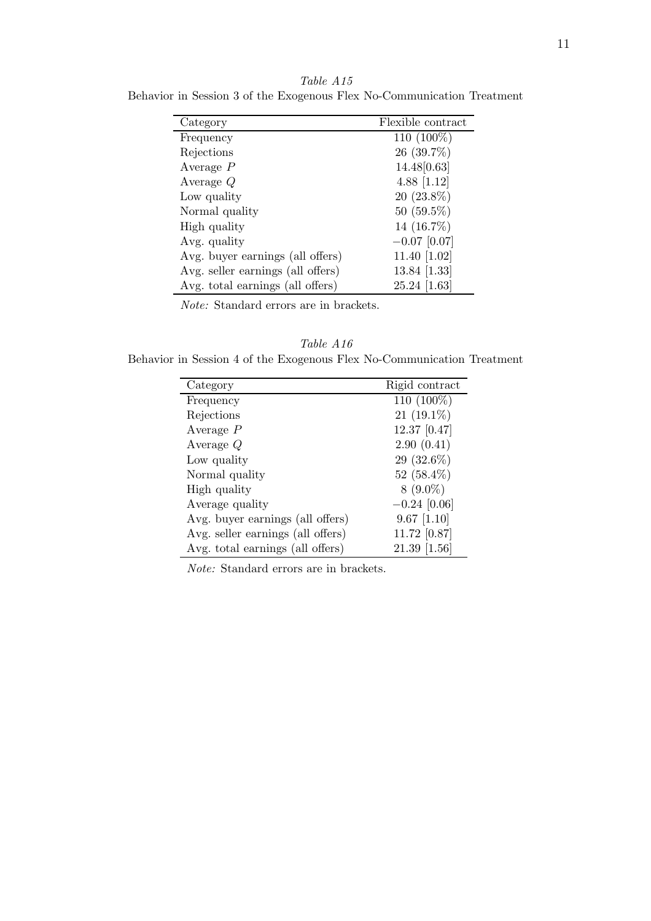| Category                          | Flexible contract |
|-----------------------------------|-------------------|
| Frequency                         | 110 (100%)        |
| Rejections                        | 26 (39.7%)        |
| Average $P$                       | 14.48 [0.63]      |
| Average $Q$                       | 4.88 $[1.12]$     |
| Low quality                       | $20(23.8\%)$      |
| Normal quality                    | $50(59.5\%)$      |
| High quality                      | 14 (16.7%)        |
| Avg. quality                      | $-0.07$ [0.07]    |
| Avg. buyer earnings (all offers)  | 11.40 $[1.02]$    |
| Avg. seller earnings (all offers) | 13.84 [1.33]      |
| Avg. total earnings (all offers)  | 25.24   1.63      |

Table A15 Behavior in Session 3 of the Exogenous Flex No-Communication Treatment

Table A16 Behavior in Session 4 of the Exogenous Flex No-Communication Treatment

| Category                          | Rigid contract |
|-----------------------------------|----------------|
| Frequency                         | 110 (100%)     |
| Rejections                        | $21(19.1\%)$   |
| Average $P$                       | 12.37 [0.47]   |
| Average $Q$                       | 2.90(0.41)     |
| Low quality                       | $29(32.6\%)$   |
| Normal quality                    | 52 $(58.4\%)$  |
| High quality                      | $8(9.0\%)$     |
| Average quality                   | $-0.24$ [0.06] |
| Avg. buyer earnings (all offers)  | $9.67$ [1.10]  |
| Avg. seller earnings (all offers) | 11.72 [0.87]   |
| Avg. total earnings (all offers)  | $21.39$ [1.56] |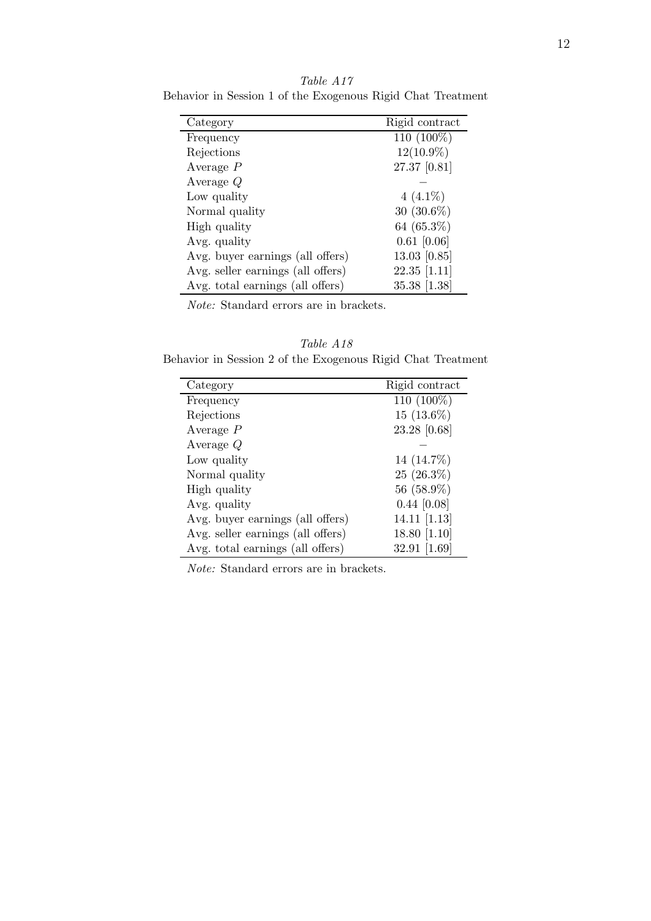| Category                          | Rigid contract |
|-----------------------------------|----------------|
| Frequency                         | 110 (100%)     |
| Rejections                        | $12(10.9\%)$   |
| Average $P$                       | 27.37 [0.81]   |
| Average $Q$                       |                |
| Low quality                       | $4(4.1\%)$     |
| Normal quality                    | $30(30.6\%)$   |
| High quality                      | 64 $(65.3\%)$  |
| Avg. quality                      | $0.61$ [0.06]  |
| Avg. buyer earnings (all offers)  | $13.03$ [0.85] |
| Avg. seller earnings (all offers) | $22.35$ [1.11] |
| Avg. total earnings (all offers)  | 35.38 [1.38]   |

Table A17 Behavior in Session 1 of the Exogenous Rigid Chat Treatment

Table A18 Behavior in Session 2 of the Exogenous Rigid Chat Treatment

| Category                          | Rigid contract |
|-----------------------------------|----------------|
| Frequency                         | 110 (100%)     |
| Rejections                        | $15(13.6\%)$   |
| Average $P$                       | 23.28 [0.68]   |
| Average $Q$                       |                |
| Low quality                       | 14 (14.7%)     |
| Normal quality                    | $25(26.3\%)$   |
| High quality                      | 56 (58.9%)     |
| Avg. quality                      | $0.44$ [0.08]  |
| Avg. buyer earnings (all offers)  | $14.11$ [1.13] |
| Avg. seller earnings (all offers) | 18.80 [1.10]   |
| Avg. total earnings (all offers)  | 32.91 [1.69]   |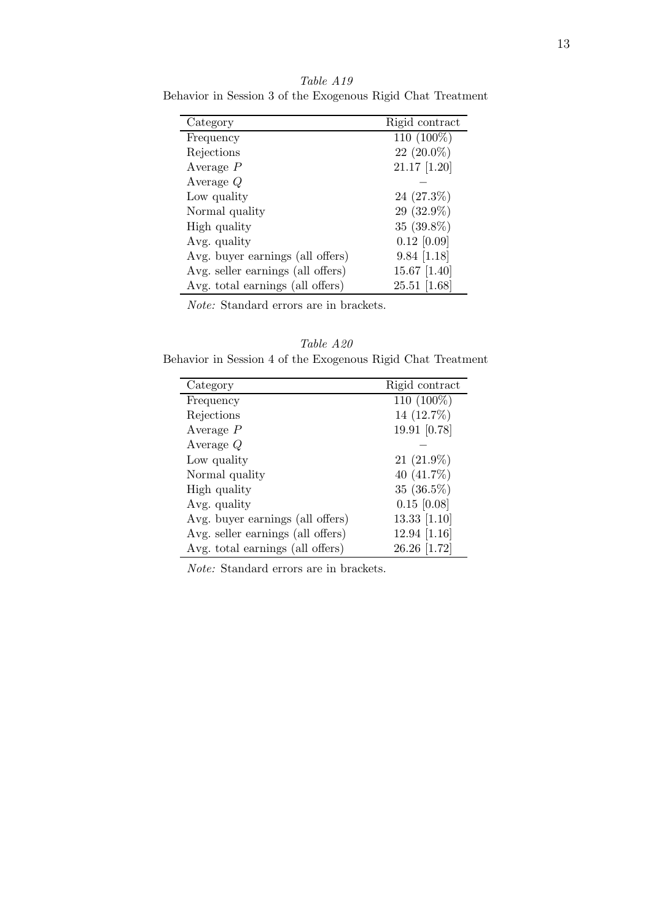| Category                          | Rigid contract |
|-----------------------------------|----------------|
| Frequency                         | 110 (100%)     |
| Rejections                        | $22(20.0\%)$   |
| Average $P$                       | $21.17$ [1.20] |
| Average $Q$                       |                |
| Low quality                       | $24(27.3\%)$   |
| Normal quality                    | $29(32.9\%)$   |
| High quality                      | $35(39.8\%)$   |
| Avg. quality                      | $0.12$ [0.09]  |
| Avg. buyer earnings (all offers)  | $9.84$ [1.18]  |
| Avg. seller earnings (all offers) | 15.67 $[1.40]$ |
| Avg. total earnings (all offers)  | $25.51$ [1.68] |

Table A19 Behavior in Session 3 of the Exogenous Rigid Chat Treatment

Table A20 Behavior in Session 4 of the Exogenous Rigid Chat Treatment

| Category                          | Rigid contract |
|-----------------------------------|----------------|
| Frequency                         | 110 (100%)     |
| Rejections                        | 14 (12.7%)     |
| Average $P$                       | 19.91 [0.78]   |
| Average $Q$                       |                |
| Low quality                       | $21(21.9\%)$   |
| Normal quality                    | 40 $(41.7\%)$  |
| High quality                      | $35(36.5\%)$   |
| Avg. quality                      | $0.15$ [0.08]  |
| Avg. buyer earnings (all offers)  | 13.33 [1.10]   |
| Avg. seller earnings (all offers) | 12.94 [1.16]   |
| Avg. total earnings (all offers)  | 26.26 [1.72]   |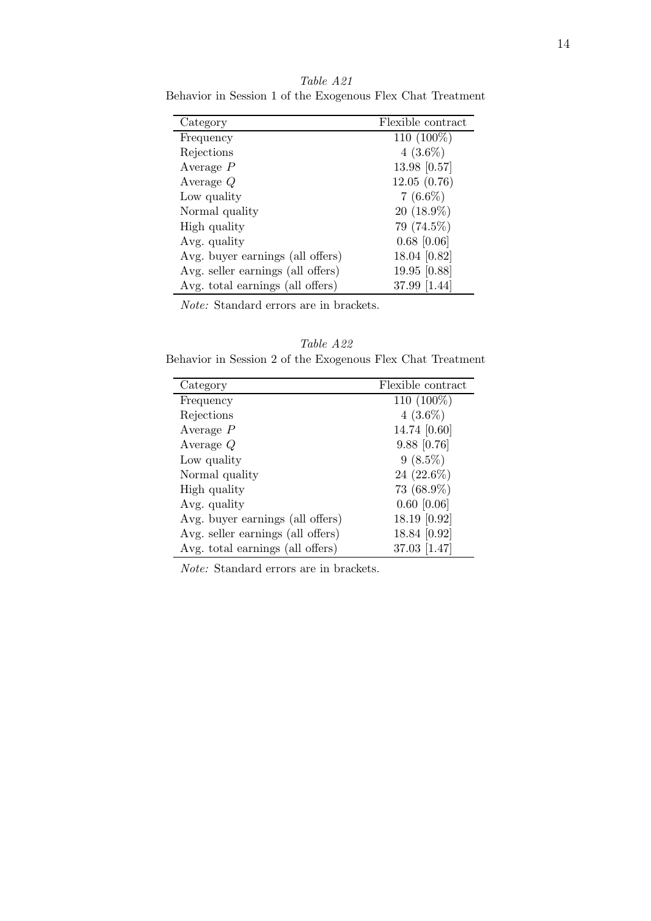| Category                          | Flexible contract |
|-----------------------------------|-------------------|
| Frequency                         | 110 (100%)        |
| Rejections                        | $4(3.6\%)$        |
| Average $P$                       | 13.98 [0.57]      |
| Average $Q$                       | 12.05(0.76)       |
| Low quality                       | $7(6.6\%)$        |
| Normal quality                    | $20(18.9\%)$      |
| High quality                      | 79 (74.5%)        |
| Avg. quality                      | $0.68$ [0.06]     |
| Avg. buyer earnings (all offers)  | 18.04 [0.82]      |
| Avg. seller earnings (all offers) | 19.95 [0.88]      |
| Avg. total earnings (all offers)  | 37.99 [1.44]      |

Table A21 Behavior in Session 1 of the Exogenous Flex Chat Treatment

|  |  |  | Table A22                                                  |  |  |
|--|--|--|------------------------------------------------------------|--|--|
|  |  |  | Behavior in Session 2 of the Exogenous Flex Chat Treatment |  |  |

| Category                          | Flexible contract |
|-----------------------------------|-------------------|
| Frequency                         | $110(100\%)$      |
| Rejections                        | $4(3.6\%)$        |
| Average $P$                       | 14.74 [0.60]      |
| Average $Q$                       | $9.88$ [0.76]     |
| Low quality                       | $9(8.5\%)$        |
| Normal quality                    | 24 $(22.6\%)$     |
| High quality                      | 73 (68.9%)        |
| Avg. quality                      | $0.60$ [0.06]     |
| Avg. buyer earnings (all offers)  | 18.19 [0.92]      |
| Avg. seller earnings (all offers) | 18.84 [0.92]      |
| Avg. total earnings (all offers)  | $37.03$ [1.47]    |